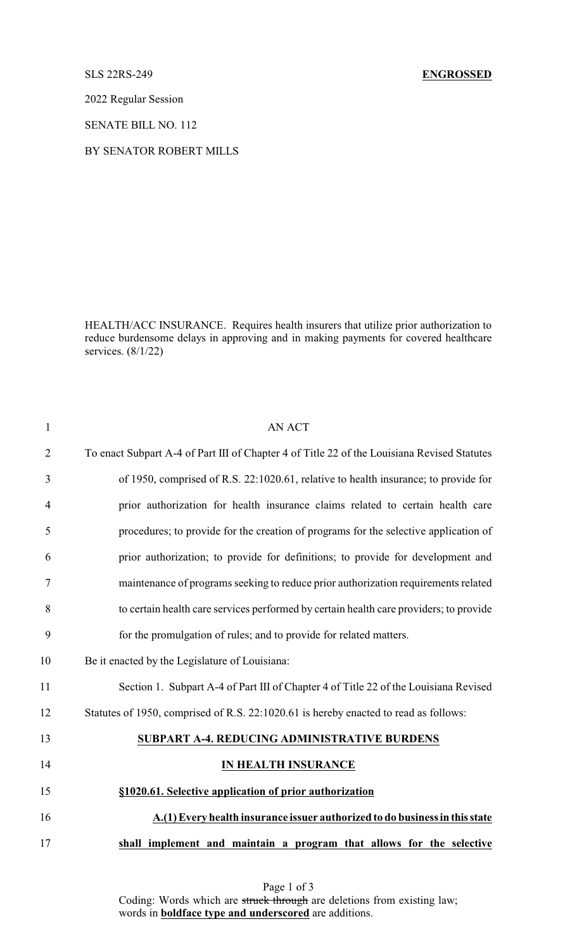2022 Regular Session

SENATE BILL NO. 112

## BY SENATOR ROBERT MILLS

HEALTH/ACC INSURANCE. Requires health insurers that utilize prior authorization to reduce burdensome delays in approving and in making payments for covered healthcare services. (8/1/22)

| $\mathbf{1}$   | <b>AN ACT</b>                                                                               |
|----------------|---------------------------------------------------------------------------------------------|
| $\overline{2}$ | To enact Subpart A-4 of Part III of Chapter 4 of Title 22 of the Louisiana Revised Statutes |
| 3              | of 1950, comprised of R.S. 22:1020.61, relative to health insurance; to provide for         |
| $\overline{4}$ | prior authorization for health insurance claims related to certain health care              |
| 5              | procedures; to provide for the creation of programs for the selective application of        |
| 6              | prior authorization; to provide for definitions; to provide for development and             |
| $\tau$         | maintenance of programs seeking to reduce prior authorization requirements related          |
| 8              | to certain health care services performed by certain health care providers; to provide      |
| 9              | for the promulgation of rules; and to provide for related matters.                          |
| 10             | Be it enacted by the Legislature of Louisiana:                                              |
| 11             | Section 1. Subpart A-4 of Part III of Chapter 4 of Title 22 of the Louisiana Revised        |
| 12             | Statutes of 1950, comprised of R.S. 22:1020.61 is hereby enacted to read as follows:        |
| 13             | SUBPART A-4. REDUCING ADMINISTRATIVE BURDENS                                                |
| 14             | <b>IN HEALTH INSURANCE</b>                                                                  |
| 15             | §1020.61. Selective application of prior authorization                                      |
| 16             | A.(1) Every health insurance issuer authorized to do business in this state                 |
| 17             | shall implement and maintain a program that allows for the selective                        |
|                |                                                                                             |

Page 1 of 3 Coding: Words which are struck through are deletions from existing law; words in **boldface type and underscored** are additions.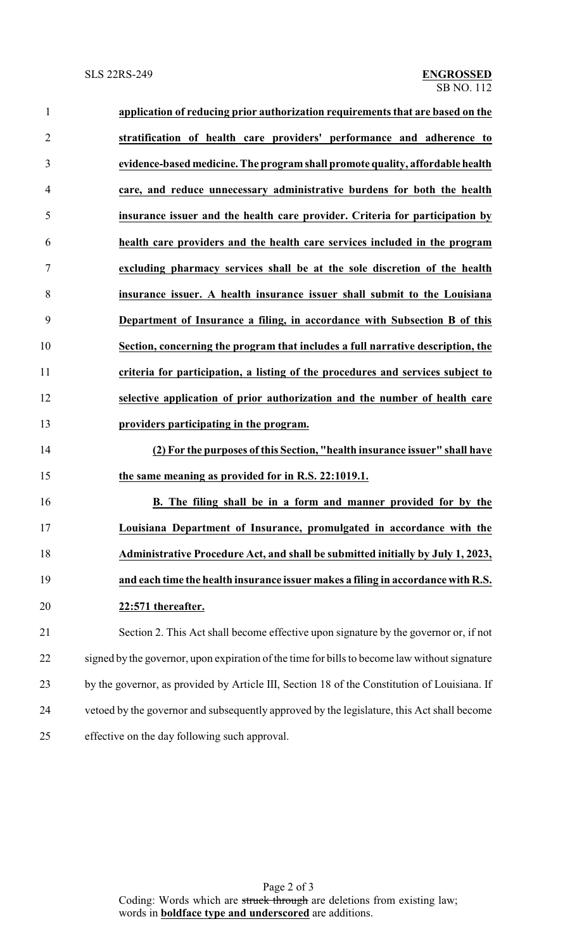| $\mathbf{1}$   | application of reducing prior authorization requirements that are based on the                |
|----------------|-----------------------------------------------------------------------------------------------|
| $\overline{2}$ | stratification of health care providers' performance and adherence to                         |
| 3              | evidence-based medicine. The program shall promote quality, affordable health                 |
| $\overline{4}$ | care, and reduce unnecessary administrative burdens for both the health                       |
| 5              | insurance issuer and the health care provider. Criteria for participation by                  |
| 6              | health care providers and the health care services included in the program                    |
| $\tau$         | excluding pharmacy services shall be at the sole discretion of the health                     |
| 8              | insurance issuer. A health insurance issuer shall submit to the Louisiana                     |
| 9              | Department of Insurance a filing, in accordance with Subsection B of this                     |
| 10             | Section, concerning the program that includes a full narrative description, the               |
| 11             | criteria for participation, a listing of the procedures and services subject to               |
| 12             | selective application of prior authorization and the number of health care                    |
| 13             | providers participating in the program.                                                       |
| 14             | (2) For the purposes of this Section, "health insurance issuer" shall have                    |
| 15             | the same meaning as provided for in R.S. 22:1019.1.                                           |
| 16             | B. The filing shall be in a form and manner provided for by the                               |
| 17             | Louisiana Department of Insurance, promulgated in accordance with the                         |
| 18             | Administrative Procedure Act, and shall be submitted initially by July 1, 2023,               |
| 19             | and each time the health insurance issuer makes a filing in accordance with R.S.              |
| 20             | 22:571 thereafter.                                                                            |
| 21             | Section 2. This Act shall become effective upon signature by the governor or, if not          |
| 22             | signed by the governor, upon expiration of the time for bills to become law without signature |
| 23             | by the governor, as provided by Article III, Section 18 of the Constitution of Louisiana. If  |

 vetoed by the governor and subsequently approved by the legislature, this Act shall become effective on the day following such approval.